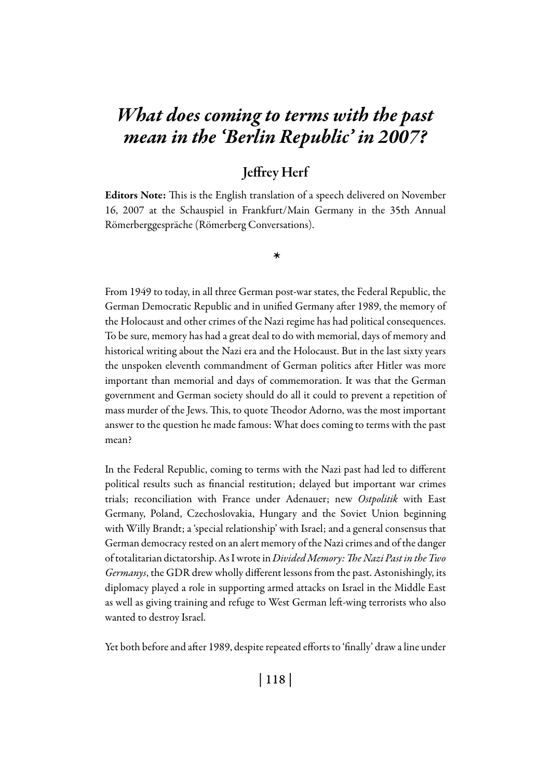# *What does coming to terms with the past mean in the 'Berlin Republic' in 2007?*

# Jeffrey Herf

Editors Note: This is the English translation of a speech delivered on November 16, 2007 at the Schauspiel in Frankfurt/Main Germany in the 35th Annual Römerberggespräche (Römerberg Conversations).

*\**

From 1949 to today, in all three German post-war states, the Federal Republic, the German Democratic Republic and in unified Germany after 1989, the memory of the Holocaust and other crimes of the Nazi regime has had political consequences. To be sure, memory has had a great deal to do with memorial, days of memory and historical writing about the Nazi era and the Holocaust. But in the last sixty years the unspoken eleventh commandment of German politics after Hitler was more important than memorial and days of commemoration. It was that the German government and German society should do all it could to prevent a repetition of mass murder of the Jews. This, to quote Theodor Adorno, was the most important answer to the question he made famous: What does coming to terms with the past mean?

In the Federal Republic, coming to terms with the Nazi past had led to different political results such as financial restitution; delayed but important war crimes trials; reconciliation with France under Adenauer; new *Ostpolitik* with East Germany, Poland, Czechoslovakia, Hungary and the Soviet Union beginning with Willy Brandt; a 'special relationship' with Israel; and a general consensus that German democracy rested on an alert memory of the Nazi crimes and of the danger of totalitarian dictatorship. As I wrote in *Divided Memory: The Nazi Past in the Two Germanys*, the GDR drew wholly different lessons from the past. Astonishingly, its diplomacy played a role in supporting armed attacks on Israel in the Middle East as well as giving training and refuge to West German left-wing terrorists who also wanted to destroy Israel.

Yet both before and after 1989, despite repeated efforts to 'finally' draw a line under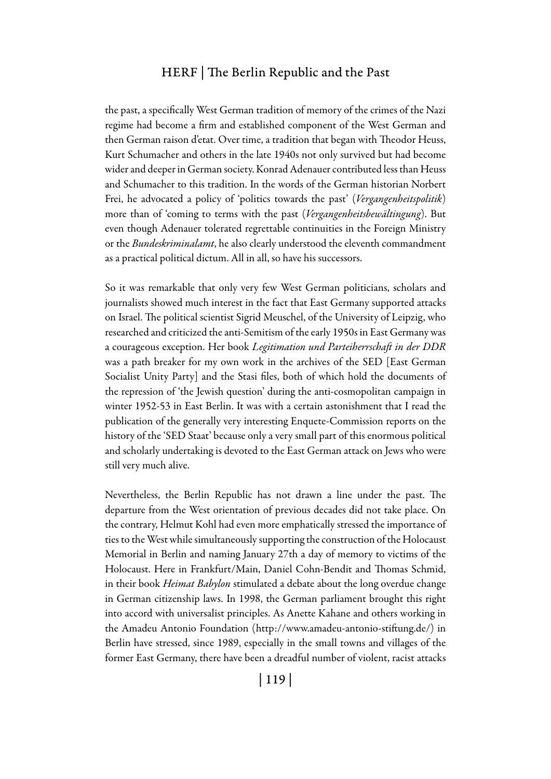the past, a specifically West German tradition of memory of the crimes of the Nazi regime had become a firm and established component of the West German and then German raison d'etat. Over time, a tradition that began with Theodor Heuss, Kurt Schumacher and others in the late 1940s not only survived but had become wider and deeper in German society. Konrad Adenauer contributed less than Heuss and Schumacher to this tradition. In the words of the German historian Norbert Frei, he advocated a policy of 'politics towards the past' (*Vergangenheitspolitik*) more than of 'coming to terms with the past (*Vergangenheitsbewältingung*). But even though Adenauer tolerated regrettable continuities in the Foreign Ministry or the *Bundeskriminalamt*, he also clearly understood the eleventh commandment as a practical political dictum. All in all, so have his successors.

So it was remarkable that only very few West German politicians, scholars and journalists showed much interest in the fact that East Germany supported attacks on Israel. The political scientist Sigrid Meuschel, of the University of Leipzig, who researched and criticized the anti-Semitism of the early 1950s in East Germany was a courageous exception. Her book *Legitimation und Parteiherrschaft in der DDR* was a path breaker for my own work in the archives of the SED [East German Socialist Unity Party] and the Stasi files, both of which hold the documents of the repression of 'the Jewish question' during the anti-cosmopolitan campaign in winter 1952-53 in East Berlin. It was with a certain astonishment that I read the publication of the generally very interesting Enquete-Commission reports on the history of the 'SED Staat' because only a very small part of this enormous political and scholarly undertaking is devoted to the East German attack on Jews who were still very much alive.

Nevertheless, the Berlin Republic has not drawn a line under the past. The departure from the West orientation of previous decades did not take place. On the contrary, Helmut Kohl had even more emphatically stressed the importance of ties to the West while simultaneously supporting the construction of the Holocaust Memorial in Berlin and naming January 27th a day of memory to victims of the Holocaust. Here in Frankfurt/Main, Daniel Cohn-Bendit and Thomas Schmid, in their book *Heimat Babylon* stimulated a debate about the long overdue change in German citizenship laws. In 1998, the German parliament brought this right into accord with universalist principles. As Anette Kahane and others working in the Amadeu Antonio Foundation (http://www.amadeu-antonio-stiftung.de/) in Berlin have stressed, since 1989, especially in the small towns and villages of the former East Germany, there have been a dreadful number of violent, racist attacks

| 119 |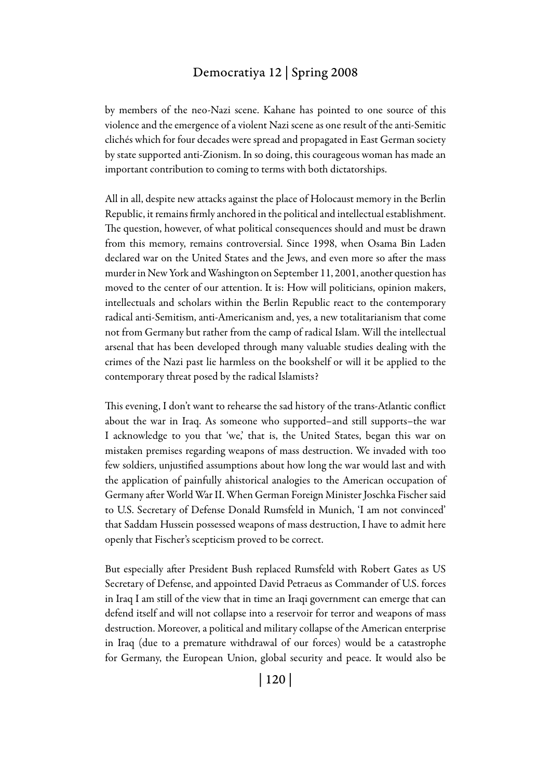by members of the neo-Nazi scene. Kahane has pointed to one source of this violence and the emergence of a violent Nazi scene as one result of the anti-Semitic clichés which for four decades were spread and propagated in East German society by state supported anti-Zionism. In so doing, this courageous woman has made an important contribution to coming to terms with both dictatorships.

All in all, despite new attacks against the place of Holocaust memory in the Berlin Republic, it remains firmly anchored in the political and intellectual establishment. The question, however, of what political consequences should and must be drawn from this memory, remains controversial. Since 1998, when Osama Bin Laden declared war on the United States and the Jews, and even more so after the mass murder in New York and Washington on September 11, 2001, another question has moved to the center of our attention. It is: How will politicians, opinion makers, intellectuals and scholars within the Berlin Republic react to the contemporary radical anti-Semitism, anti-Americanism and, yes, a new totalitarianism that come not from Germany but rather from the camp of radical Islam. Will the intellectual arsenal that has been developed through many valuable studies dealing with the crimes of the Nazi past lie harmless on the bookshelf or will it be applied to the contemporary threat posed by the radical Islamists?

This evening, I don't want to rehearse the sad history of the trans-Atlantic conflict about the war in Iraq. As someone who supported–and still supports–the war I acknowledge to you that 'we,' that is, the United States, began this war on mistaken premises regarding weapons of mass destruction. We invaded with too few soldiers, unjustified assumptions about how long the war would last and with the application of painfully ahistorical analogies to the American occupation of Germany after World War II. When German Foreign Minister Joschka Fischer said to U.S. Secretary of Defense Donald Rumsfeld in Munich, 'I am not convinced' that Saddam Hussein possessed weapons of mass destruction, I have to admit here openly that Fischer's scepticism proved to be correct.

But especially after President Bush replaced Rumsfeld with Robert Gates as US Secretary of Defense, and appointed David Petraeus as Commander of U.S. forces in Iraq I am still of the view that in time an Iraqi government can emerge that can defend itself and will not collapse into a reservoir for terror and weapons of mass destruction. Moreover, a political and military collapse of the American enterprise in Iraq (due to a premature withdrawal of our forces) would be a catastrophe for Germany, the European Union, global security and peace. It would also be

| 120 |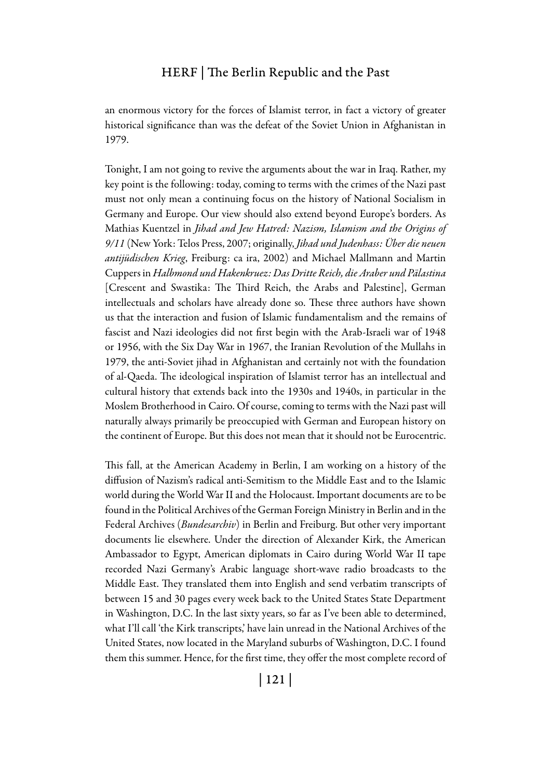an enormous victory for the forces of Islamist terror, in fact a victory of greater historical significance than was the defeat of the Soviet Union in Afghanistan in 1979.

Tonight, I am not going to revive the arguments about the war in Iraq. Rather, my key point is the following: today, coming to terms with the crimes of the Nazi past must not only mean a continuing focus on the history of National Socialism in Germany and Europe. Our view should also extend beyond Europe's borders. As Mathias Kuentzel in *Jihad and Jew Hatred: Nazism, Islamism and the Origins of 9/11* (New York: Telos Press, 2007; originally, *Jihad und Judenhass: Über die neuen antijüdischen Krieg*, Freiburg: ca ira, 2002) and Michael Mallmann and Martin Cuppers in *Halbmond und Hakenkruez: Das Dritte Reich, die Araber und Pälastina*  [Crescent and Swastika: The Third Reich, the Arabs and Palestine], German intellectuals and scholars have already done so. These three authors have shown us that the interaction and fusion of Islamic fundamentalism and the remains of fascist and Nazi ideologies did not first begin with the Arab-Israeli war of 1948 or 1956, with the Six Day War in 1967, the Iranian Revolution of the Mullahs in 1979, the anti-Soviet jihad in Afghanistan and certainly not with the foundation of al-Qaeda. The ideological inspiration of Islamist terror has an intellectual and cultural history that extends back into the 1930s and 1940s, in particular in the Moslem Brotherhood in Cairo. Of course, coming to terms with the Nazi past will naturally always primarily be preoccupied with German and European history on the continent of Europe. But this does not mean that it should not be Eurocentric.

This fall, at the American Academy in Berlin, I am working on a history of the diffusion of Nazism's radical anti-Semitism to the Middle East and to the Islamic world during the World War II and the Holocaust. Important documents are to be found in the Political Archives of the German Foreign Ministry in Berlin and in the Federal Archives (*Bundesarchiv*) in Berlin and Freiburg. But other very important documents lie elsewhere. Under the direction of Alexander Kirk, the American Ambassador to Egypt, American diplomats in Cairo during World War II tape recorded Nazi Germany's Arabic language short-wave radio broadcasts to the Middle East. They translated them into English and send verbatim transcripts of between 15 and 30 pages every week back to the United States State Department in Washington, D.C. In the last sixty years, so far as I've been able to determined, what I'll call 'the Kirk transcripts,' have lain unread in the National Archives of the United States, now located in the Maryland suburbs of Washington, D.C. I found them this summer. Hence, for the first time, they offer the most complete record of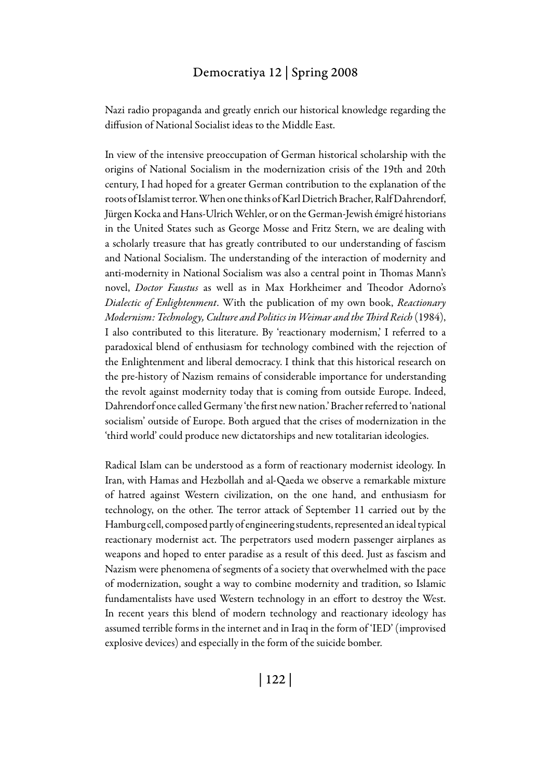Nazi radio propaganda and greatly enrich our historical knowledge regarding the diffusion of National Socialist ideas to the Middle East.

In view of the intensive preoccupation of German historical scholarship with the origins of National Socialism in the modernization crisis of the 19th and 20th century, I had hoped for a greater German contribution to the explanation of the roots of Islamist terror. When one thinks of Karl Dietrich Bracher, Ralf Dahrendorf, Jürgen Kocka and Hans-Ulrich Wehler, or on the German-Jewish émigré historians in the United States such as George Mosse and Fritz Stern, we are dealing with a scholarly treasure that has greatly contributed to our understanding of fascism and National Socialism. The understanding of the interaction of modernity and anti-modernity in National Socialism was also a central point in Thomas Mann's novel, *Doctor Faustus* as well as in Max Horkheimer and Theodor Adorno's *Dialectic of Enlightenment*. With the publication of my own book, *Reactionary Modernism: Technology, Culture and Politics in Weimar and the Third Reich* (1984), I also contributed to this literature. By 'reactionary modernism,' I referred to a paradoxical blend of enthusiasm for technology combined with the rejection of the Enlightenment and liberal democracy. I think that this historical research on the pre-history of Nazism remains of considerable importance for understanding the revolt against modernity today that is coming from outside Europe. Indeed, Dahrendorf once called Germany 'the first new nation.' Bracher referred to 'national socialism' outside of Europe. Both argued that the crises of modernization in the 'third world' could produce new dictatorships and new totalitarian ideologies.

Radical Islam can be understood as a form of reactionary modernist ideology. In Iran, with Hamas and Hezbollah and al-Qaeda we observe a remarkable mixture of hatred against Western civilization, on the one hand, and enthusiasm for technology, on the other. The terror attack of September 11 carried out by the Hamburg cell, composed partly of engineering students, represented an ideal typical reactionary modernist act. The perpetrators used modern passenger airplanes as weapons and hoped to enter paradise as a result of this deed. Just as fascism and Nazism were phenomena of segments of a society that overwhelmed with the pace of modernization, sought a way to combine modernity and tradition, so Islamic fundamentalists have used Western technology in an effort to destroy the West. In recent years this blend of modern technology and reactionary ideology has assumed terrible forms in the internet and in Iraq in the form of 'IED' (improvised explosive devices) and especially in the form of the suicide bomber.

| 122 |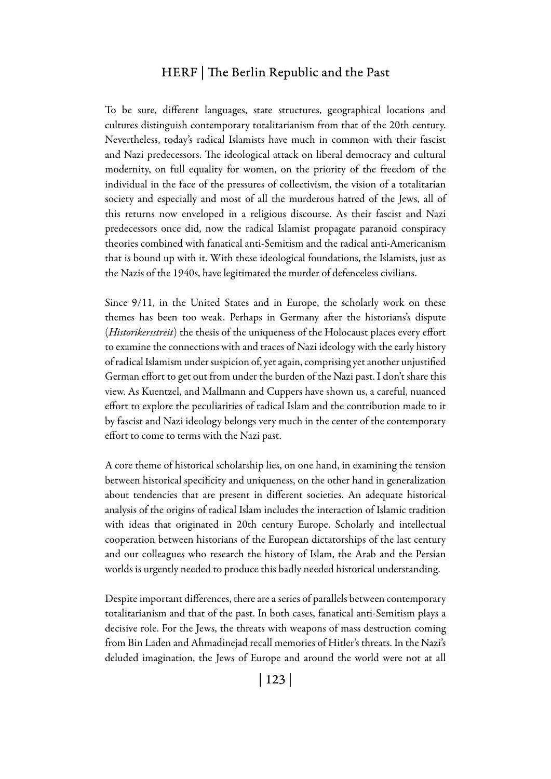To be sure, different languages, state structures, geographical locations and cultures distinguish contemporary totalitarianism from that of the 20th century. Nevertheless, today's radical Islamists have much in common with their fascist and Nazi predecessors. The ideological attack on liberal democracy and cultural modernity, on full equality for women, on the priority of the freedom of the individual in the face of the pressures of collectivism, the vision of a totalitarian society and especially and most of all the murderous hatred of the Jews, all of this returns now enveloped in a religious discourse. As their fascist and Nazi predecessors once did, now the radical Islamist propagate paranoid conspiracy theories combined with fanatical anti-Semitism and the radical anti-Americanism that is bound up with it. With these ideological foundations, the Islamists, just as the Nazis of the 1940s, have legitimated the murder of defenceless civilians.

Since 9/11, in the United States and in Europe, the scholarly work on these themes has been too weak. Perhaps in Germany after the historians's dispute (*Historikersstreit*) the thesis of the uniqueness of the Holocaust places every effort to examine the connections with and traces of Nazi ideology with the early history of radical Islamism under suspicion of, yet again, comprising yet another unjustified German effort to get out from under the burden of the Nazi past. I don't share this view. As Kuentzel, and Mallmann and Cuppers have shown us, a careful, nuanced effort to explore the peculiarities of radical Islam and the contribution made to it by fascist and Nazi ideology belongs very much in the center of the contemporary effort to come to terms with the Nazi past.

A core theme of historical scholarship lies, on one hand, in examining the tension between historical specificity and uniqueness, on the other hand in generalization about tendencies that are present in different societies. An adequate historical analysis of the origins of radical Islam includes the interaction of Islamic tradition with ideas that originated in 20th century Europe. Scholarly and intellectual cooperation between historians of the European dictatorships of the last century and our colleagues who research the history of Islam, the Arab and the Persian worlds is urgently needed to produce this badly needed historical understanding.

Despite important differences, there are a series of parallels between contemporary totalitarianism and that of the past. In both cases, fanatical anti-Semitism plays a decisive role. For the Jews, the threats with weapons of mass destruction coming from Bin Laden and Ahmadinejad recall memories of Hitler's threats. In the Nazi's deluded imagination, the Jews of Europe and around the world were not at all

| 123 |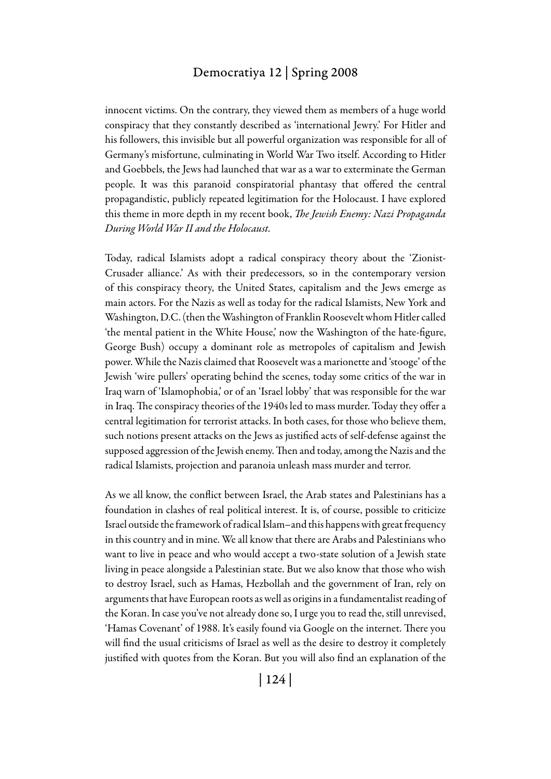innocent victims. On the contrary, they viewed them as members of a huge world conspiracy that they constantly described as 'international Jewry.' For Hitler and his followers, this invisible but all powerful organization was responsible for all of Germany's misfortune, culminating in World War Two itself. According to Hitler and Goebbels, the Jews had launched that war as a war to exterminate the German people. It was this paranoid conspiratorial phantasy that offered the central propagandistic, publicly repeated legitimation for the Holocaust. I have explored this theme in more depth in my recent book, *The Jewish Enemy: Nazi Propaganda During World War II and the Holocaust.*

Today, radical Islamists adopt a radical conspiracy theory about the 'Zionist-Crusader alliance.' As with their predecessors, so in the contemporary version of this conspiracy theory, the United States, capitalism and the Jews emerge as main actors. For the Nazis as well as today for the radical Islamists, New York and Washington, D.C. (then the Washington of Franklin Roosevelt whom Hitler called 'the mental patient in the White House,' now the Washington of the hate-figure, George Bush) occupy a dominant role as metropoles of capitalism and Jewish power. While the Nazis claimed that Roosevelt was a marionette and 'stooge' of the Jewish 'wire pullers' operating behind the scenes, today some critics of the war in Iraq warn of 'Islamophobia,' or of an 'Israel lobby' that was responsible for the war in Iraq. The conspiracy theories of the 1940s led to mass murder. Today they offer a central legitimation for terrorist attacks. In both cases, for those who believe them, such notions present attacks on the Jews as justified acts of self-defense against the supposed aggression of the Jewish enemy. Then and today, among the Nazis and the radical Islamists, projection and paranoia unleash mass murder and terror.

As we all know, the conflict between Israel, the Arab states and Palestinians has a foundation in clashes of real political interest. It is, of course, possible to criticize Israel outside the framework of radical Islam–and this happens with great frequency in this country and in mine. We all know that there are Arabs and Palestinians who want to live in peace and who would accept a two-state solution of a Jewish state living in peace alongside a Palestinian state. But we also know that those who wish to destroy Israel, such as Hamas, Hezbollah and the government of Iran, rely on arguments that have European roots as well as origins in a fundamentalist reading of the Koran. In case you've not already done so, I urge you to read the, still unrevised, 'Hamas Covenant' of 1988. It's easily found via Google on the internet. There you will find the usual criticisms of Israel as well as the desire to destroy it completely justified with quotes from the Koran. But you will also find an explanation of the

| 124 |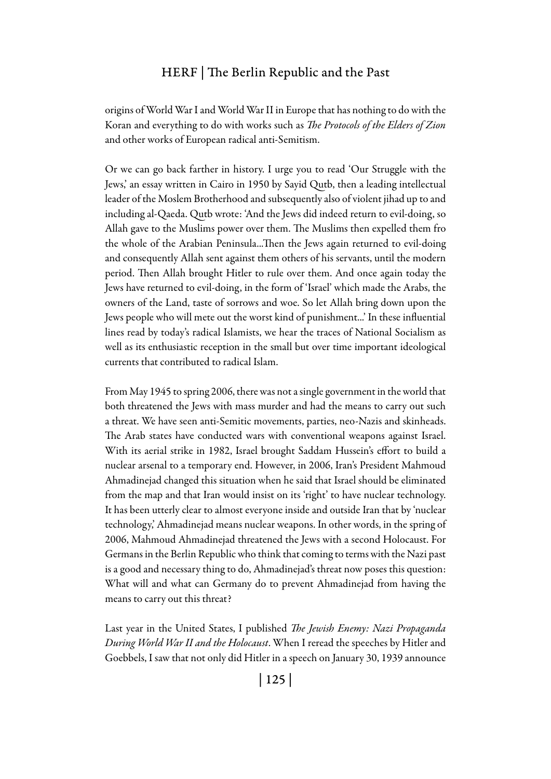origins of World War I and World War II in Europe that has nothing to do with the Koran and everything to do with works such as *The Protocols of the Elders of Zion*  and other works of European radical anti-Semitism.

Or we can go back farther in history. I urge you to read 'Our Struggle with the Jews,' an essay written in Cairo in 1950 by Sayid Qutb, then a leading intellectual leader of the Moslem Brotherhood and subsequently also of violent jihad up to and including al-Qaeda. Qutb wrote: 'And the Jews did indeed return to evil-doing, so Allah gave to the Muslims power over them. The Muslims then expelled them fro the whole of the Arabian Peninsula...Then the Jews again returned to evil-doing and consequently Allah sent against them others of his servants, until the modern period. Then Allah brought Hitler to rule over them. And once again today the Jews have returned to evil-doing, in the form of 'Israel' which made the Arabs, the owners of the Land, taste of sorrows and woe. So let Allah bring down upon the Jews people who will mete out the worst kind of punishment...' In these influential lines read by today's radical Islamists, we hear the traces of National Socialism as well as its enthusiastic reception in the small but over time important ideological currents that contributed to radical Islam.

From May 1945 to spring 2006, there was not a single government in the world that both threatened the Jews with mass murder and had the means to carry out such a threat. We have seen anti-Semitic movements, parties, neo-Nazis and skinheads. The Arab states have conducted wars with conventional weapons against Israel. With its aerial strike in 1982, Israel brought Saddam Hussein's effort to build a nuclear arsenal to a temporary end. However, in 2006, Iran's President Mahmoud Ahmadinejad changed this situation when he said that Israel should be eliminated from the map and that Iran would insist on its 'right' to have nuclear technology. It has been utterly clear to almost everyone inside and outside Iran that by 'nuclear technology,' Ahmadinejad means nuclear weapons. In other words, in the spring of 2006, Mahmoud Ahmadinejad threatened the Jews with a second Holocaust. For Germans in the Berlin Republic who think that coming to terms with the Nazi past is a good and necessary thing to do, Ahmadinejad's threat now poses this question: What will and what can Germany do to prevent Ahmadinejad from having the means to carry out this threat?

Last year in the United States, I published *The Jewish Enemy: Nazi Propaganda During World War II and the Holocaust*. When I reread the speeches by Hitler and Goebbels, I saw that not only did Hitler in a speech on January 30, 1939 announce

| 125 |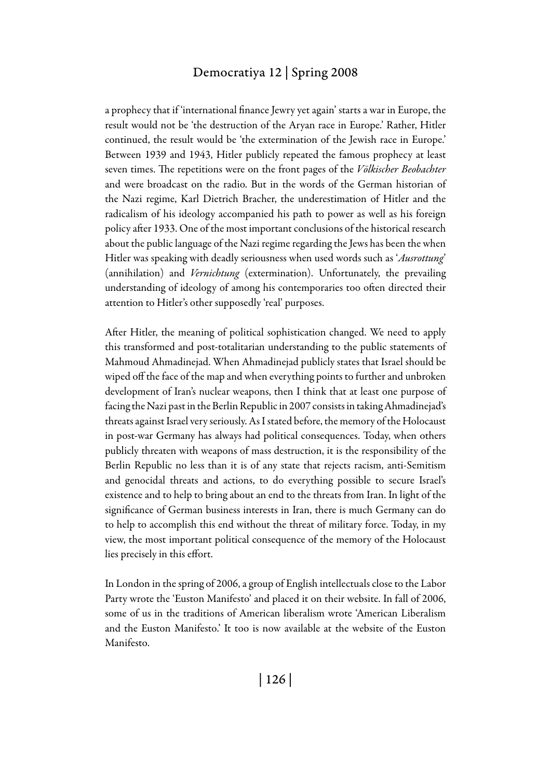a prophecy that if 'international finance Jewry yet again' starts a war in Europe, the result would not be 'the destruction of the Aryan race in Europe.' Rather, Hitler continued, the result would be 'the extermination of the Jewish race in Europe.' Between 1939 and 1943, Hitler publicly repeated the famous prophecy at least seven times. The repetitions were on the front pages of the *Völkischer Beobachter*  and were broadcast on the radio. But in the words of the German historian of the Nazi regime, Karl Dietrich Bracher, the underestimation of Hitler and the radicalism of his ideology accompanied his path to power as well as his foreign policy after 1933. One of the most important conclusions of the historical research about the public language of the Nazi regime regarding the Jews has been the when Hitler was speaking with deadly seriousness when used words such as '*Ausrottung*' (annihilation) and *Vernichtung* (extermination). Unfortunately, the prevailing understanding of ideology of among his contemporaries too often directed their attention to Hitler's other supposedly 'real' purposes.

After Hitler, the meaning of political sophistication changed. We need to apply this transformed and post-totalitarian understanding to the public statements of Mahmoud Ahmadinejad. When Ahmadinejad publicly states that Israel should be wiped off the face of the map and when everything points to further and unbroken development of Iran's nuclear weapons, then I think that at least one purpose of facing the Nazi past in the Berlin Republic in 2007 consists in taking Ahmadinejad's threats against Israel very seriously. As I stated before, the memory of the Holocaust in post-war Germany has always had political consequences. Today, when others publicly threaten with weapons of mass destruction, it is the responsibility of the Berlin Republic no less than it is of any state that rejects racism, anti-Semitism and genocidal threats and actions, to do everything possible to secure Israel's existence and to help to bring about an end to the threats from Iran. In light of the significance of German business interests in Iran, there is much Germany can do to help to accomplish this end without the threat of military force. Today, in my view, the most important political consequence of the memory of the Holocaust lies precisely in this effort.

In London in the spring of 2006, a group of English intellectuals close to the Labor Party wrote the 'Euston Manifesto' and placed it on their website. In fall of 2006, some of us in the traditions of American liberalism wrote 'American Liberalism and the Euston Manifesto.' It too is now available at the website of the Euston Manifesto.

| 126 |